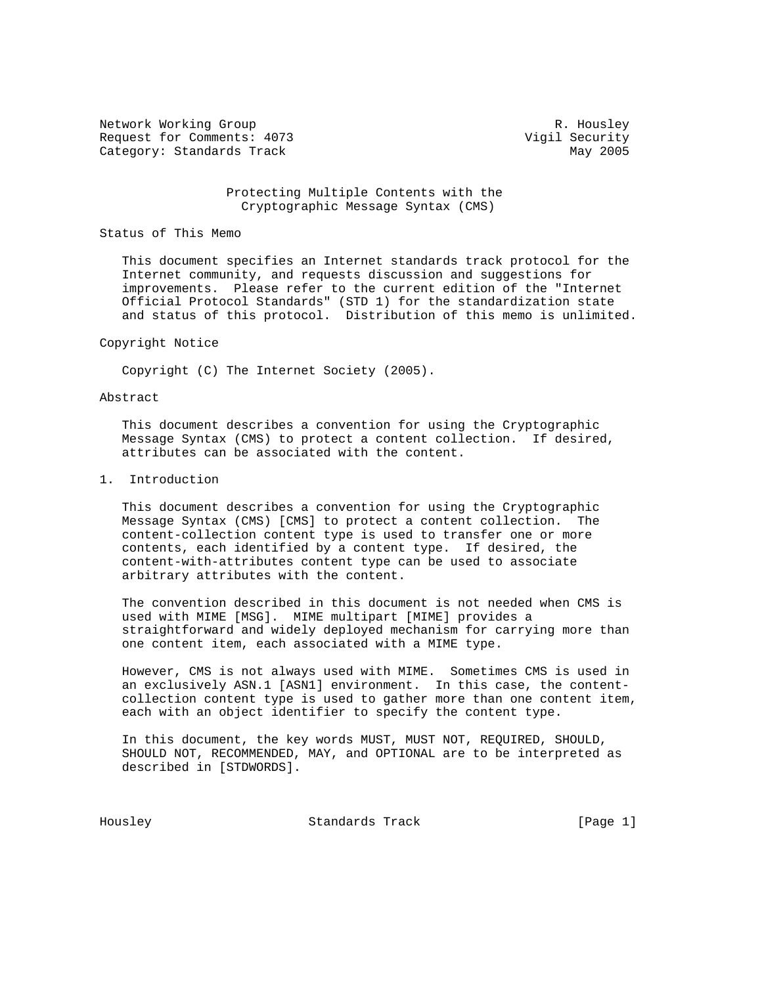Network Working Group Network Working Group Network R. Housley Request for Comments: 4073 Vigil Security Category: Standards Track May 2005

### Protecting Multiple Contents with the Cryptographic Message Syntax (CMS)

#### Status of This Memo

 This document specifies an Internet standards track protocol for the Internet community, and requests discussion and suggestions for improvements. Please refer to the current edition of the "Internet Official Protocol Standards" (STD 1) for the standardization state and status of this protocol. Distribution of this memo is unlimited.

#### Copyright Notice

Copyright (C) The Internet Society (2005).

#### Abstract

 This document describes a convention for using the Cryptographic Message Syntax (CMS) to protect a content collection. If desired, attributes can be associated with the content.

### 1. Introduction

 This document describes a convention for using the Cryptographic Message Syntax (CMS) [CMS] to protect a content collection. The content-collection content type is used to transfer one or more contents, each identified by a content type. If desired, the content-with-attributes content type can be used to associate arbitrary attributes with the content.

 The convention described in this document is not needed when CMS is used with MIME [MSG]. MIME multipart [MIME] provides a straightforward and widely deployed mechanism for carrying more than one content item, each associated with a MIME type.

 However, CMS is not always used with MIME. Sometimes CMS is used in an exclusively ASN.1 [ASN1] environment. In this case, the content collection content type is used to gather more than one content item, each with an object identifier to specify the content type.

 In this document, the key words MUST, MUST NOT, REQUIRED, SHOULD, SHOULD NOT, RECOMMENDED, MAY, and OPTIONAL are to be interpreted as described in [STDWORDS].

Housley Standards Track [Page 1]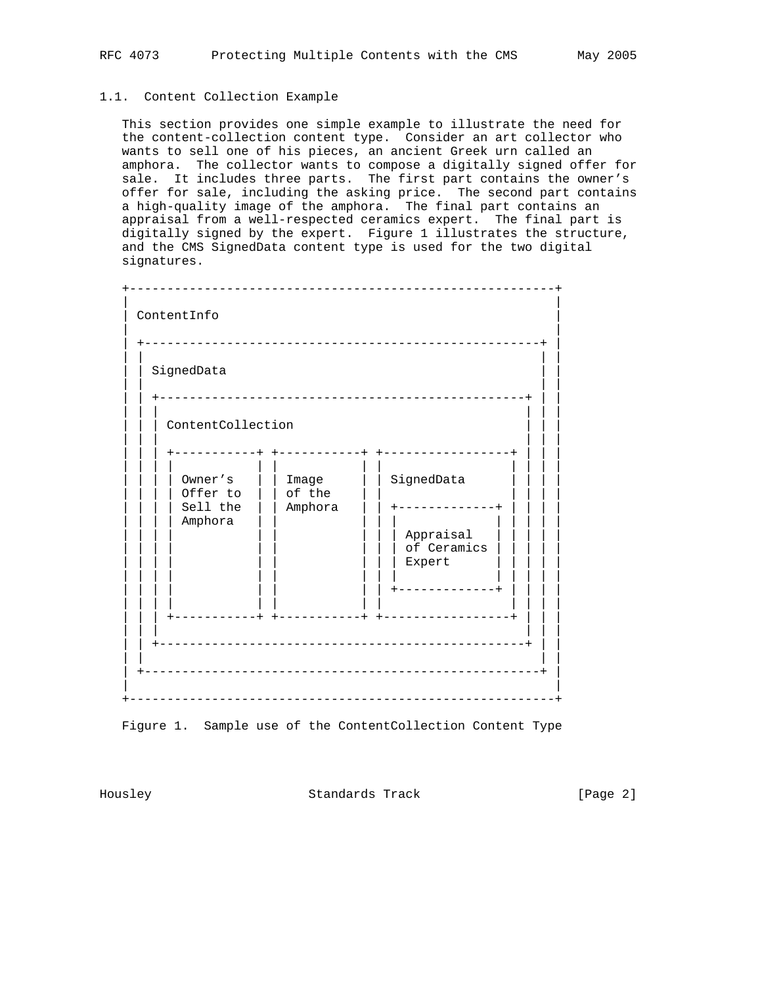# 1.1. Content Collection Example

 This section provides one simple example to illustrate the need for the content-collection content type. Consider an art collector who wants to sell one of his pieces, an ancient Greek urn called an amphora. The collector wants to compose a digitally signed offer for sale. It includes three parts. The first part contains the owner's offer for sale, including the asking price. The second part contains a high-quality image of the amphora. The final part contains an appraisal from a well-respected ceramics expert. The final part is digitally signed by the expert. Figure 1 illustrates the structure, and the CMS SignedData content type is used for the two digital signatures.



Figure 1. Sample use of the ContentCollection Content Type

Housley Standards Track [Page 2]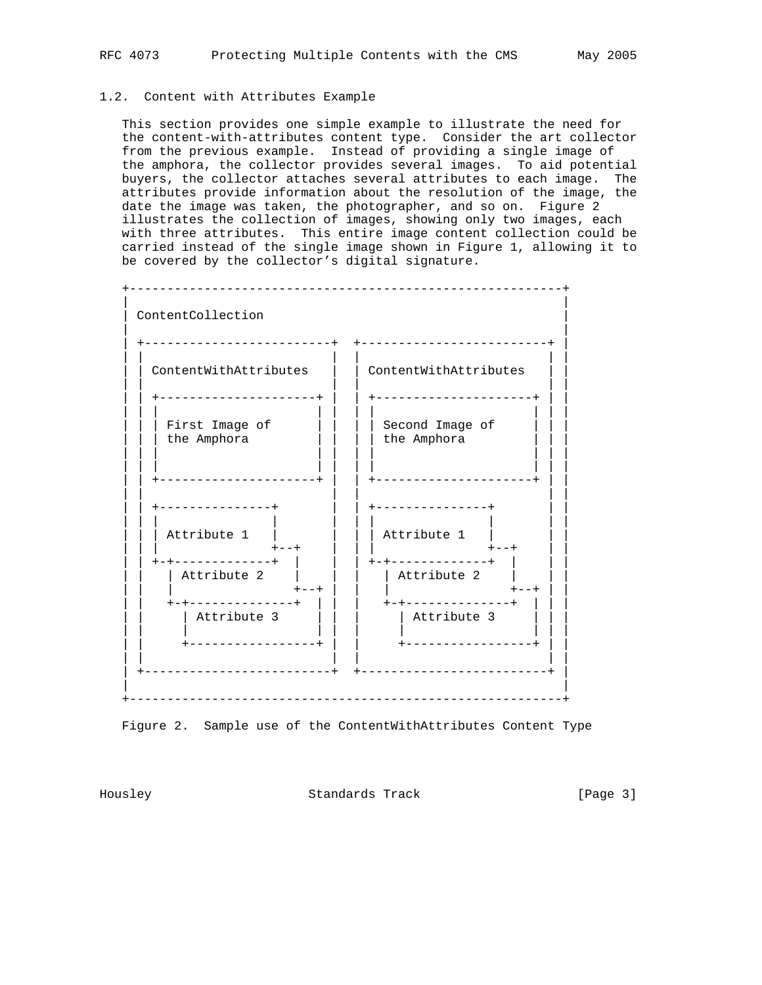### 1.2. Content with Attributes Example

 This section provides one simple example to illustrate the need for the content-with-attributes content type. Consider the art collector from the previous example. Instead of providing a single image of the amphora, the collector provides several images. To aid potential buyers, the collector attaches several attributes to each image. The attributes provide information about the resolution of the image, the date the image was taken, the photographer, and so on. Figure 2 illustrates the collection of images, showing only two images, each with three attributes. This entire image content collection could be carried instead of the single image shown in Figure 1, allowing it to be covered by the collector's digital signature.



Figure 2. Sample use of the ContentWithAttributes Content Type

Housley Standards Track [Page 3]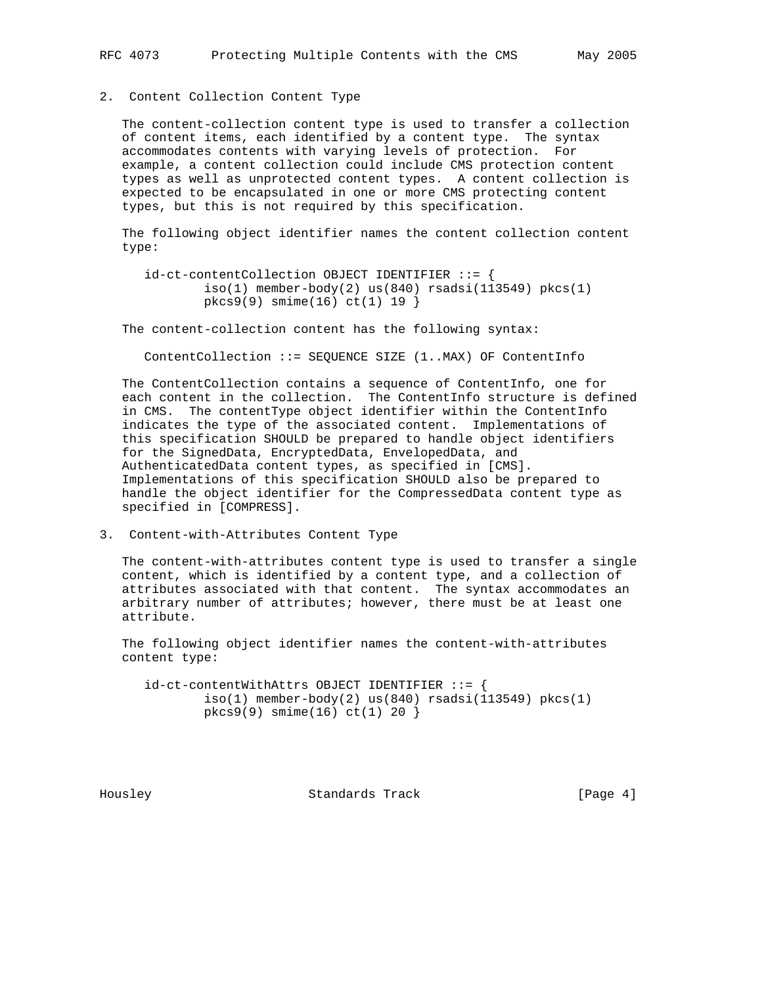## 2. Content Collection Content Type

 The content-collection content type is used to transfer a collection of content items, each identified by a content type. The syntax accommodates contents with varying levels of protection. For example, a content collection could include CMS protection content types as well as unprotected content types. A content collection is expected to be encapsulated in one or more CMS protecting content types, but this is not required by this specification.

 The following object identifier names the content collection content type:

 id-ct-contentCollection OBJECT IDENTIFIER ::= {  $iso(1)$  member-body $(2)$  us $(840)$  rsadsi $(113549)$  pkcs $(1)$ pkcs9(9) smime(16) ct(1) 19 }

The content-collection content has the following syntax:

ContentCollection ::= SEQUENCE SIZE (1..MAX) OF ContentInfo

 The ContentCollection contains a sequence of ContentInfo, one for each content in the collection. The ContentInfo structure is defined in CMS. The contentType object identifier within the ContentInfo indicates the type of the associated content. Implementations of this specification SHOULD be prepared to handle object identifiers for the SignedData, EncryptedData, EnvelopedData, and AuthenticatedData content types, as specified in [CMS]. Implementations of this specification SHOULD also be prepared to handle the object identifier for the CompressedData content type as specified in [COMPRESS].

3. Content-with-Attributes Content Type

 The content-with-attributes content type is used to transfer a single content, which is identified by a content type, and a collection of attributes associated with that content. The syntax accommodates an arbitrary number of attributes; however, there must be at least one attribute.

 The following object identifier names the content-with-attributes content type:

 id-ct-contentWithAttrs OBJECT IDENTIFIER ::= {  $iso(1)$  member-body $(2)$  us $(840)$  rsadsi $(113549)$  pkcs $(1)$ pkcs9(9) smime(16) ct(1) 20 }

Housley **Standards Track** [Page 4]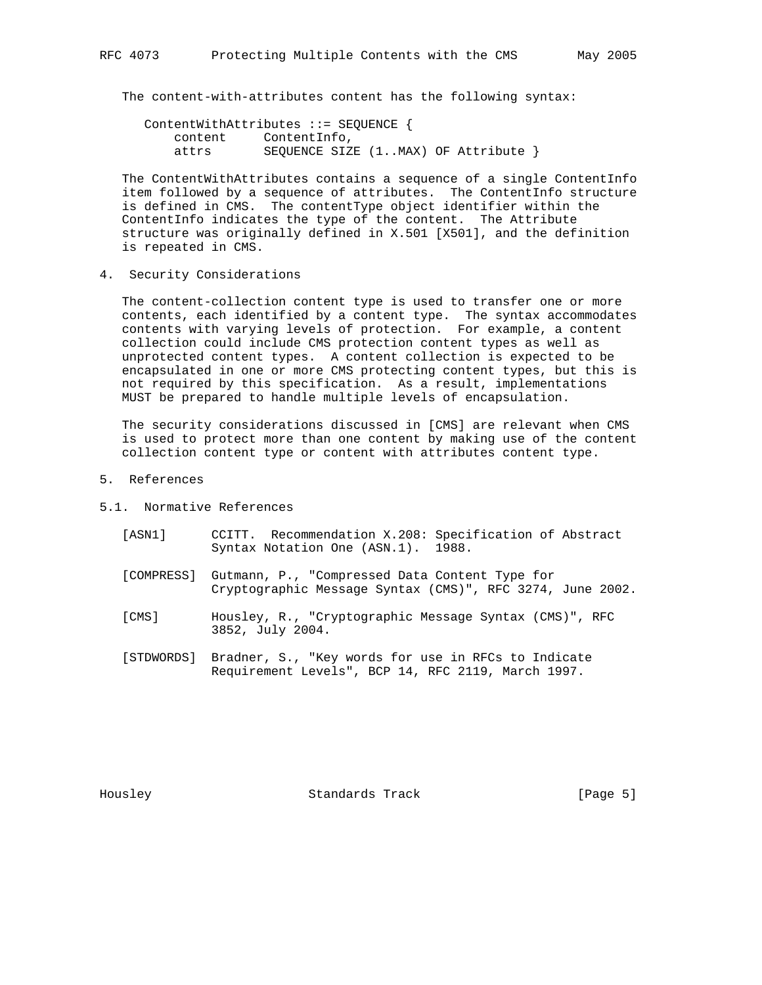The content-with-attributes content has the following syntax:

 ContentWithAttributes ::= SEQUENCE { content ContentInfo, attrs SEQUENCE SIZE (1..MAX) OF Attribute }

 The ContentWithAttributes contains a sequence of a single ContentInfo item followed by a sequence of attributes. The ContentInfo structure is defined in CMS. The contentType object identifier within the ContentInfo indicates the type of the content. The Attribute structure was originally defined in X.501 [X501], and the definition is repeated in CMS.

4. Security Considerations

 The content-collection content type is used to transfer one or more contents, each identified by a content type. The syntax accommodates contents with varying levels of protection. For example, a content collection could include CMS protection content types as well as unprotected content types. A content collection is expected to be encapsulated in one or more CMS protecting content types, but this is not required by this specification. As a result, implementations MUST be prepared to handle multiple levels of encapsulation.

 The security considerations discussed in [CMS] are relevant when CMS is used to protect more than one content by making use of the content collection content type or content with attributes content type.

- 5. References
- 5.1. Normative References
	- [ASN1] CCITT. Recommendation X.208: Specification of Abstract Syntax Notation One (ASN.1). 1988.
	- [COMPRESS] Gutmann, P., "Compressed Data Content Type for Cryptographic Message Syntax (CMS)", RFC 3274, June 2002.
	- [CMS] Housley, R., "Cryptographic Message Syntax (CMS)", RFC 3852, July 2004.
	- [STDWORDS] Bradner, S., "Key words for use in RFCs to Indicate Requirement Levels", BCP 14, RFC 2119, March 1997.

Housley **Standards Track** [Page 5]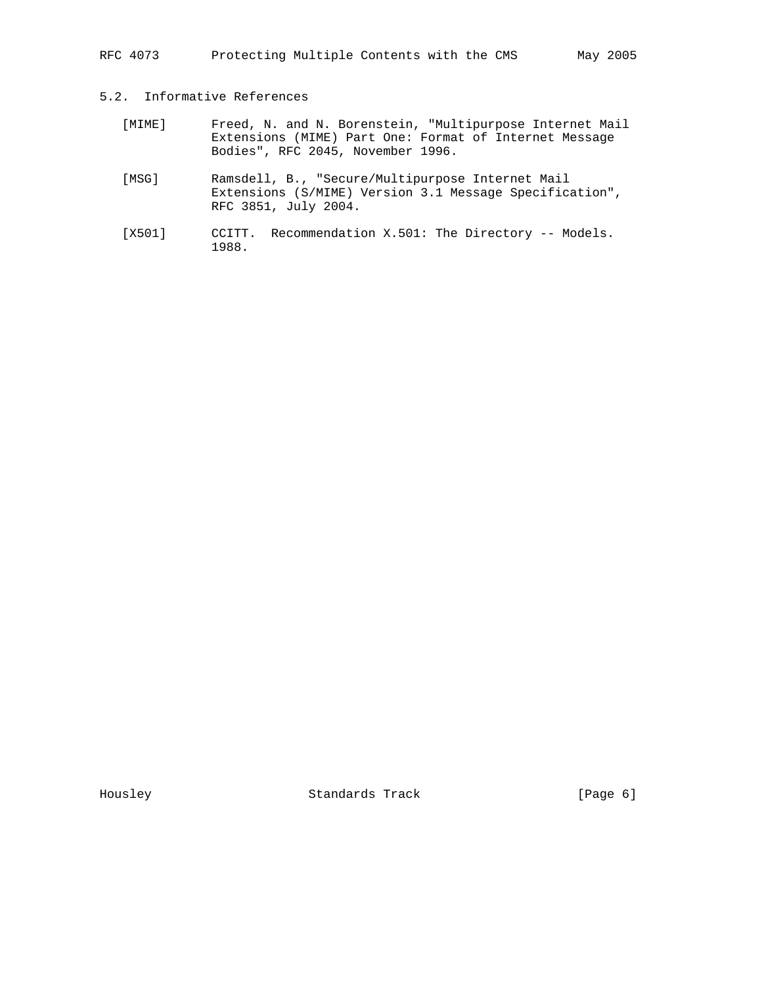RFC 4073 Protecting Multiple Contents with the CMS May 2005

## 5.2. Informative References

- [MIME] Freed, N. and N. Borenstein, "Multipurpose Internet Mail Extensions (MIME) Part One: Format of Internet Message Bodies", RFC 2045, November 1996.
- [MSG] Ramsdell, B., "Secure/Multipurpose Internet Mail Extensions (S/MIME) Version 3.1 Message Specification", RFC 3851, July 2004.
- [X501] CCITT. Recommendation X.501: The Directory -- Models. 1988.

Housley Standards Track [Page 6]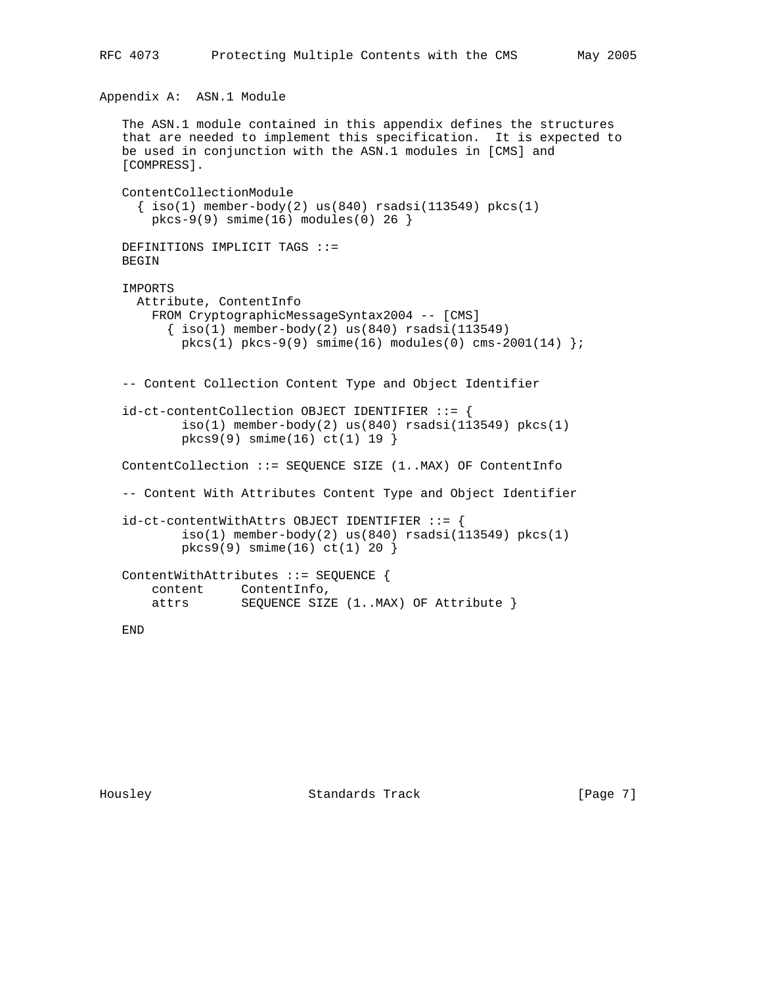Appendix A: ASN.1 Module

```
 The ASN.1 module contained in this appendix defines the structures
  that are needed to implement this specification. It is expected to
  be used in conjunction with the ASN.1 modules in [CMS] and
 [COMPRESS].
  ContentCollectionModule
   \{ iso(1) member-body(2) us(840) rsadsi(113549) pkcs(1)
     pkcs-9(9) smime(16) modules(0) 26 }
  DEFINITIONS IMPLICIT TAGS ::=
  BEGIN
  IMPORTS
    Attribute, ContentInfo
      FROM CryptographicMessageSyntax2004 -- [CMS]
       \{ iso(1) member-body(2) us(840) rsadsi(113549)pkcs(1) pkcs-9(9) simte(16) modules(0) cms-2001(14) } -- Content Collection Content Type and Object Identifier
  id-ct-contentCollection OBJECT IDENTIFIER ::= {
         iso(1) member-body(2) us(840) rsadsi(113549) pkcs(1)
          pkcs9(9) smime(16) ct(1) 19 }
  ContentCollection ::= SEQUENCE SIZE (1..MAX) OF ContentInfo
  -- Content With Attributes Content Type and Object Identifier
 id-ct-contentWithAttrs OBJECT IDENTIFIER ::= {
         iso(1) member-body(2) us(840) rsadsi(113549) pkcs(1) pkcs9(9) smime(16) ct(1) 20 }
  ContentWithAttributes ::= SEQUENCE {
content ContentInfo,
attrs SEQUENCE SIZE (1..MAX) OF Attribute }
```
END

Housley Standards Track [Page 7]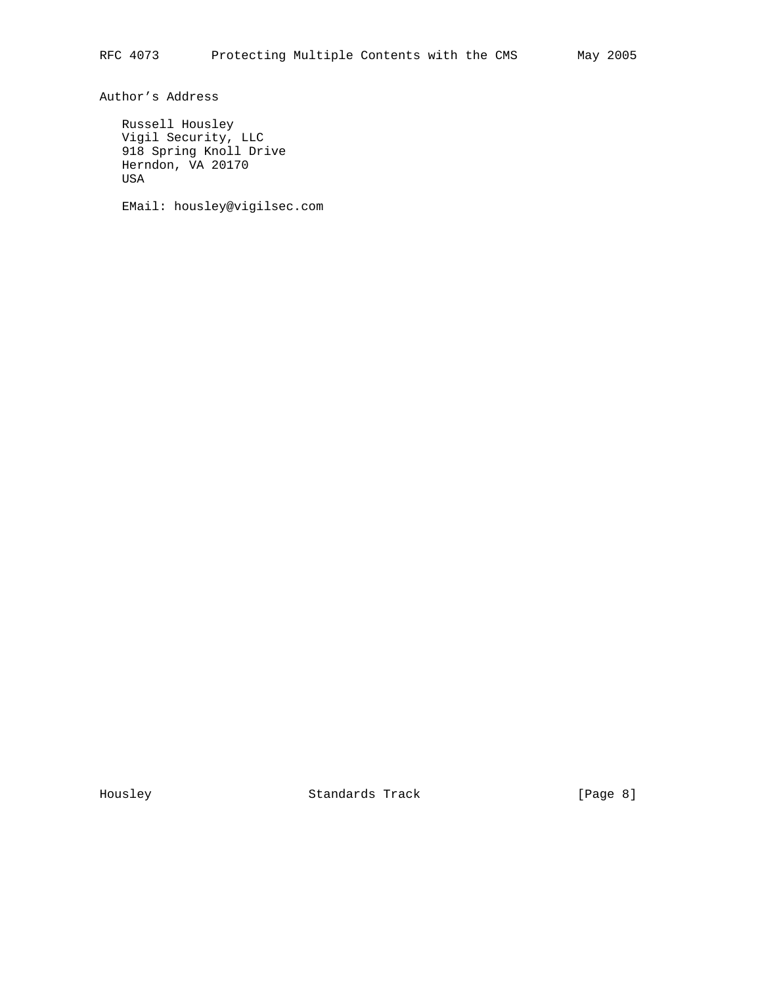Author's Address

 Russell Housley Vigil Security, LLC 918 Spring Knoll Drive Herndon, VA 20170 USA

EMail: housley@vigilsec.com

Housley Standards Track [Page 8]